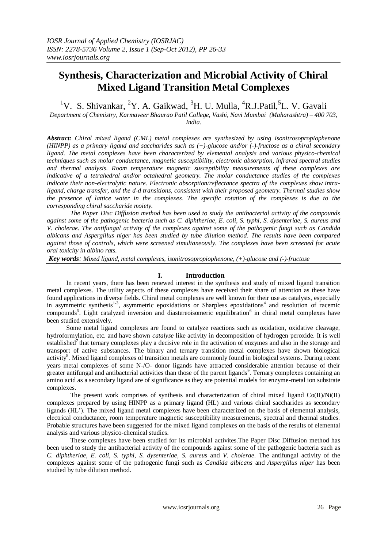# **Synthesis, Characterization and Microbial Activity of Chiral Mixed Ligand Transition Metal Complexes**

<sup>1</sup>V. S. Shivankar, <sup>2</sup>Y. A. Gaikwad, <sup>3</sup>H. U. Mulla, <sup>4</sup>R.J.Patil, <sup>5</sup>L. V. Gavali *Department of Chemistry, Karmaveer Bhaurao Patil College, Vashi, Navi Mumbai (Maharashtra) – 400 703,* 

*India.*

*Abstract: Chiral mixed ligand (CML) metal complexes are synthesized by using isonitrosopropiophenone (HINPP) as a primary ligand and saccharides such as (+)-glucose and/or (-)-fructose as a chiral secondary ligand. The metal complexes have been characterized by elemental analysis and various physico-chemical techniques such as molar conductance, magnetic susceptibility, electronic absorption, infrared spectral studies and thermal analysis. Room temperature magnetic susceptibility measurements of these complexes are indicative of a tetrahedral and/or octahedral geometry. The molar conductance studies of the complexes indicate their non-electrolytic nature. Electronic absorption/reflectance spectra of the complexes show intraligand, charge transfer, and the d-d transitions, consistent with their proposed geometry. Thermal studies show the presence of lattice water in the complexes. The specific rotation of the complexes is due to the corresponding chiral saccharide moiety.*

*The Paper Disc Diffusion method has been used to study the antibacterial activity of the compounds against some of the pathogenic bacteria such as C. diphtheriae, E. coli, S. typhi, S. dysenteriae, S. aureus and V. cholerae. The antifungal activity of the complexes against some of the pathogenic fungi such as Candida albicans and Aspergillus niger has been studied by tube dilution method. The results have been compared against those of controls, which were screened simultaneously. The complexes have been screened for acute oral toxicity in albino rats.*

*Key words: Mixed ligand, metal complexes, isonitrosopropiophenone, (+)-glucose and (-)-fructose*

## **I. Introduction**

 In recent years, there has been renewed interest in the synthesis and study of mixed ligand transition metal complexes. The utility aspects of these complexes have received their share of attention as these have found applications in diverse fields. Chiral metal complexes are well known for their use as catalysts, especially in asymmetric synthesis<sup>1-3</sup>, asymmetric epoxidations or Sharpless epoxidations<sup>4</sup> and resolution of racemic compounds<sup>5</sup>. Light catalyzed inversion and diastereoisomeric equilibration<sup>6</sup> in chiral metal complexes have been studied extensively.

 Some metal ligand complexes are found to catalyze reactions such as oxidation, oxidative cleavage, hydroformylation, etc. and have shown *catalyse* like activity in decomposition of hydrogen peroxide. It is well established<sup>7</sup> that ternary complexes play a decisive role in the activation of enzymes and also in the storage and transport of active substances. The binary and ternary transition metal complexes have shown biological activity<sup>8</sup>. Mixed ligand complexes of transition metals are commonly found in biological systems. During recent years metal complexes of some N-/O- donor ligands have attracted considerable attention because of their greater antifungal and antibacterial activities than those of the parent ligands<sup>9</sup>. Ternary complexes containing an amino acid as a secondary ligand are of significance as they are potential models for enzyme-metal ion substrate complexes.

 The present work comprises of synthesis and characterization of chiral mixed ligand Co(II)/Ni(II) complexes prepared by using HINPP as a primary ligand (HL) and various chiral saccharides as secondary ligands (HL'). The mixed ligand metal complexes have been characterized on the basis of elemental analysis, electrical conductance, room temperature magnetic susceptibility measurements, spectral and thermal studies. Probable structures have been suggested for the mixed ligand complexes on the basis of the results of elemental analysis and various physico-chemical studies.

These complexes have been studied for its microbial activites.The Paper Disc Diffusion method has been used to study the antibacterial activity of the compounds against some of the pathogenic bacteria such as *C. diphtheriae, E. coli, S. typhi, S. dysenteriae, S. aureus* and *V. cholerae*. The antifungal activity of the complexes against some of the pathogenic fungi such as *Candida albicans* and *Aspergillus niger* has been studied by tube dilution method.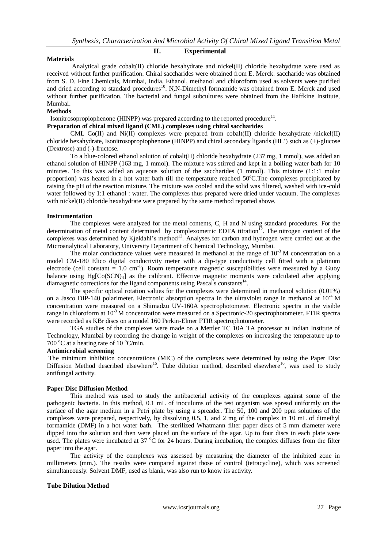#### **II. Experimental**

#### **Materials**

 Analytical grade cobalt(II) chloride hexahydrate and nickel(II) chloride hexahydrate were used as received without further purification. Chiral saccharides were obtained from E. Merck. saccharide was obtained from S. D. Fine Chemicals, Mumbai, India. Ethanol, methanol and chloroform used as solvents were purified and dried according to standard procedures<sup>10</sup>. N,N-Dimethyl formamide was obtained from E. Merck and used without further purification. The bacterial and fungal subcultures were obtained from the Haffkine Institute, Mumbai.

#### **Methods**

Isonitrosopropiophenone (HINPP) was prepared according to the reported procedure $^{11}$ .

## **Preparation of chiral mixed ligand (CML) complexes using chiral saccharides**

 CML Co(II) and Ni(II) complexes were prepared from cobalt(II) chloride hexahydrate /nickel(II) chloride hexahydrate, Isonitrosopropiophenone (HINPP) and chiral secondary ligands (HL') such as (+)-glucose (Dextrose) and (-)-fructose.

 To a blue-colored ethanol solution of cobalt(II) chloride hexahydrate (237 mg, 1 mmol), was added an ethanol solution of HINPP (163 mg, 1 mmol). The mixture was stirred and kept in a boiling water bath for 10 minutes. To this was added an aqueous solution of the saccharides (1 mmol). This mixture (1:1:1 molar proportion) was heated in a hot water bath till the temperature reached  $50^{\circ}$ C.The complexes precipitated by raising the pH of the reaction mixture. The mixture was cooled and the solid was filtered, washed with ice-cold water followed by 1:1 ethanol : water. The complexes thus prepared were dried under vacuum. The complexes with nickel(II) chloride hexahydrate were prepared by the same method reported above.

#### **Instrumentation**

 The complexes were analyzed for the metal contents, C, H and N using standard procedures. For the determination of metal content determined by complexometric EDTA titration<sup>12</sup>. The nitrogen content of the complexes was determined by Kjeldahl's method<sup>13</sup>. Analyses for carbon and hydrogen were carried out at the Microanalytical Laboratory, University Department of Chemical Technology, Mumbai.

The molar conductance values were measured in methanol at the range of  $10^{-3}$  M concentration on a model CM-180 Elico digital conductivity meter with a dip-type conductivity cell fitted with a platinum electrode (cell constant  $= 1.0 \text{ cm}^{-1}$ ). Room temperature magnetic susceptibilities were measured by a Guoy balance using  $Hg[Co(SCN)<sub>4</sub>]$  as the calibrant. Effective magnetic moments were calculated after applying diamagnetic corrections for the ligand components using Pascal's constants<sup>14</sup>.

 The specific optical rotation values for the complexes were determined in methanol solution (0.01%) on a Jasco DIP-140 polarimeter. Electronic absorption spectra in the ultraviolet range in methanol at  $10^{-4}$  M concentration were measured on a Shimadzu UV-160A spectrophotometer. Electronic spectra in the visible range in chloroform at 10<sup>-3</sup> M concentration were measured on a Spectronic-20 spectrophotometer. FTIR spectra were recorded as KBr discs on a model 160 Perkin-Elmer FTIR spectrophotometer.

 TGA studies of the complexes were made on a Mettler TC 10A TA processor at Indian Institute of Technology, Mumbai by recording the change in weight of the complexes on increasing the temperature up to 700  $^{\circ}$ C at a heating rate of 10  $^{\circ}$ C/min.

#### **Antimicrobial screening**

The minimum inhibition concentrations (MIC) of the complexes were determined by using the Paper Disc Diffusion Method described elsewhere<sup>15</sup>. Tube dilution method, described elsewhere<sup>16</sup>, was used to study antifungal activity.

#### **Paper Disc Diffusion Method**

This method was used to study the antibacterial activity of the complexes against some of the pathogenic bacteria. In this method, 0.1 mL of inoculums of the test organism was spread uniformly on the surface of the agar medium in a Petri plate by using a spreader. The 50, 100 and 200 ppm solutions of the complexes were prepared, respectively, by dissolving 0.5, 1, and 2 mg of the complex in 10 mL of dimethyl formamide (DMF) in a hot water bath. The sterilized Whatmann filter paper discs of 5 mm diameter were dipped into the solution and then were placed on the surface of the agar. Up to four discs in each plate were used. The plates were incubated at 37  $\rm{^{\circ}C}$  for 24 hours. During incubation, the complex diffuses from the filter paper into the agar.

The activity of the complexes was assessed by measuring the diameter of the inhibited zone in millimeters (mm.). The results were compared against those of control (tetracycline), which was screened simultaneously. Solvent DMF, used as blank, was also run to know its activity.

#### **Tube Dilution Method**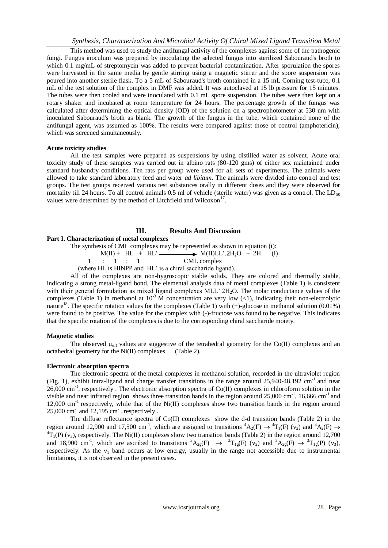This method was used to study the antifungal activity of the complexes against some of the pathogenic fungi. Fungus inoculum was prepared by inoculating the selected fungus into sterilized Sabouraud's broth to which 0.1 mg/mL of streptomycin was added to prevent bacterial contamination. After sporulation the spores were harvested in the same media by gentle stirring using a magnetic stirrer and the spore suspension was poured into another sterile flask. To a 5 mL of Sabouraud's broth contained in a 15 mL Corning test-tube, 0.1 mL of the test solution of the complex in DMF was added. It was autoclaved at 15 lb pressure for 15 minutes. The tubes were then cooled and were inoculated with 0.1 mL spore suspension. The tubes were then kept on a rotary shaker and incubated at room temperature for 24 hours. The percentage growth of the fungus was calculated after determining the optical density (OD) of the solution on a spectrophotometer at 530 nm with inoculated Sabouraud's broth as blank. The growth of the fungus in the tube, which contained none of the antifungal agent, was assumed as 100%. The results were compared against those of control (amphotericin), which was screened simultaneously.

#### **Acute toxicity studies**

All the test samples were prepared as suspensions by using distilled water as solvent. Acute oral toxicity study of these samples was carried out in albino rats (80-120 gms) of either sex maintained under standard husbandry conditions. Ten rats per group were used for all sets of experiments. The animals were allowed to take standard laboratory feed and water *ad libitum*. The animals were divided into control and test groups. The test groups received various test substances orally in different doses and they were observed for mortality till 24 hours. To all control animals 0.5 ml of vehicle (sterile water) was given as a control. The  $LD_{50}$ values were determined by the method of Litchfield and Wilcoxon<sup>17</sup>.

## **III. Results And Discussion**

## **Part I. Characterization of metal complexes**

The synthesis of CML complexes may be represented as shown in equation (i):

 $M(II)$  + HL + HL' $\longrightarrow$   $M(II)$ LL' $.2H_2O + 2H^+$ (i)

$$
1 \qquad : \qquad 1 \qquad : \qquad 1 \qquad \qquad \text{CML complex}
$$

(where HL is HINPP and HL' is a chiral saccharide ligand).

 All of the complexes are non-hygroscopic stable solids. They are colored and thermally stable, indicating a strong metal-ligand bond. The elemental analysis data of metal complexes (Table 1) is consistent with their general formulation as mixed ligand complexes MLL'.2H<sub>2</sub>O. The molar conductance values of the complexes (Table 1) in methanol at  $10^{-3}$  M concentration are very low (<1), indicating their non-electrolytic nature<sup>18</sup>. The specific rotation values for the complexes (Table 1) with  $(+)$ -glucose in methanol solution  $(0.01\%)$ were found to be positive. The value for the complex with (-)-fructose was found to be negative. This indicates that the specific rotation of the complexes is due to the corresponding chiral saccharide moiety.

#### **Magnetic studies**

The observed  $\mu_{\text{eff}}$  values are suggestive of the tetrahedral geometry for the Co(II) complexes and an octahedral geometry for the Ni(II) complexes (Table 2).

#### **Electronic absorption spectra**

 The electronic spectra of the metal complexes in methanol solution, recorded in the ultraviolet region (Fig. 1), exhibit intra-ligand and charge transfer transitions in the range around  $25,940-48,192$  cm<sup>-1</sup> and near 26,000 cm<sup>-1</sup>, respectively. The electronic absorption spectra of Co(II) complexes in chloroform solution in the visible and near infrared region shows three transition bands in the region around  $25,000$  cm<sup>-1</sup>, 16,666 cm<sup>-1</sup> and 12,000 cm<sup>-1</sup> respectively, while that of the Ni(II) complexes show two transition bands in the region around  $25,000 \text{ cm}^{-1}$  and  $12,195 \text{ cm}^{-1}$ , respectively.

 The diffuse reflectance spectra of Co(II) complexes show the d-d transition bands (Table 2) in the region around 12,900 and 17,500 cm<sup>-1</sup>, which are assigned to transitions  ${}^4A_2(F) \rightarrow {}^4T_1(F)$  (v<sub>2</sub>) and  ${}^4A_2(F) \rightarrow$  ${}^{4}T_{1}(P)$  (v<sub>3</sub>), respectively. The Ni(II) complexes show two transition bands (Table 2) in the region around 12,700 and 18,900 cm<sup>-1</sup>, which are ascribed to transitions  ${}^{3}A_{2g}(F) \rightarrow {}^{3}T_{1g}(F)$  (v<sub>2</sub>) and  ${}^{3}A_{2g}(F) \rightarrow {}^{3}T_{1g}(P)$  (v<sub>3</sub>), respectively. As the  $v_1$  band occurs at low energy, usually in the range not accessible due to instrumental limitations, it is not observed in the present cases.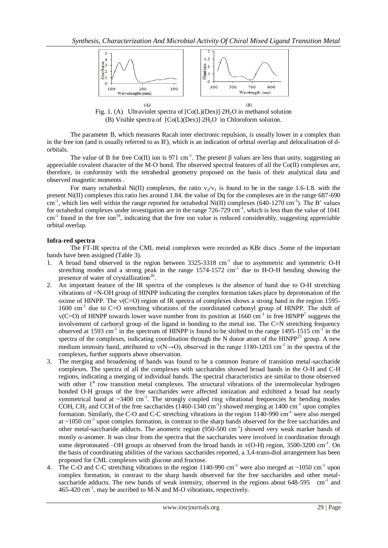

Fig. 1. (A) Ultraviolet spectra of  $[Co(L)(Dex)]$  -2H<sub>2</sub>O in methanol solution (B) Visible spectra of  $[Co(L)(Dex)]$  2H<sub>2</sub>O in Chloroform solution.

 The parameter B, which measures Racah inter electronic repulsion, is usually lower in a complex than in the free ion (and is usually referred to as B'), which is an indication of orbital overlap and delocalisation of dorbitals.

The value of B for free Co(II) ion is 971 cm<sup>-1</sup>. The present  $\beta$  values are less than unity, suggesting an appreciable covalent character of the M-O bond. The observed spectral features of all the Co(II) complexes are, therefore, in conformity with the tetrahedral geometry proposed on the basis of their analytical data and observed magnetic moments .

For many octahedral Ni(II) complexes, the ratio  $v_2/v_1$  is found to be in the range 1.6-1.8. with the present Ni(II) complexes this ratio lies around 1.84. the value of Dq for the complexes are in the range 687-690  $\text{cm}^{-1}$ , which lies well within the range reported for octahedral Ni(II) complexes (640-1270 cm<sup>-1</sup>). The B' values for octahedral complexes under investigation are in the range  $726-729$  cm<sup>-1</sup>, which is less than the value of  $1041$  $cm^{-1}$  found in the free ion<sup>19</sup>, indicating that the free ion value is reduced considerably, suggesting appreciable orbital overlap.

# **Infra-red spectra**

The FT-IR spectra of the CML metal complexes were recorded as KBr discs .Some of the important bands have been assigned (Table 3).

- 1. A broad band observed in the region between 3325-3318 cm<sup>-1</sup> due to asymmetric and symmetric O-H stretching modes and a strong peak in the range  $1574-1572$  cm<sup>-1</sup> due to H-O-H bending showing the presence of water of crystallization<sup>20</sup>.
- 2. An important feature of the IR spectra of the complexes is the absence of band due to O-H stretching vibrations of =N-OH group of HINPP indicating the complex formation takes place by deprotonation of the oxime of HINPP. The  $v(C=O)$  region of IR spectra of complexes shows a strong band in the region 1595-1600 cm<sup>-1</sup> due to C=O stretching vibrations of the coordinated carbonyl group of HINPP. The shift of  $v(C=O)$  of HINPP towards lower wave number from its position at 1660 cm<sup>-1</sup> in free HINPP<sup>7</sup> suggests the involvement of carbonyl group of the ligand in bonding to the metal ion. The C=N stretching frequency observed at 1593 cm<sup>-1</sup> in the spectrum of HINPP is found to be shifted to the range 1495-1515 cm<sup>-1</sup> in the spectra of the complexes, indicating coordination through the N donor atom of the  $HINPP<sup>21</sup>$  group. A new medium intensity band, attributed to  $v(N\rightarrow O)$ , observed in the range 1180-1203 cm<sup>-1</sup> in the spectra of the complexes, further supports above observation.
- 3. The merging and broadening of bands was found to be a common feature of transition metal-saccharide complexes. The spectra of all the complexes with saccharides showed broad bands in the O-H and C-H regions, indicating a merging of individual bands. The spectral characteristics are similar to those observed with other 1<sup>st</sup> row transition metal complexes. The structural vibrations of the intermolecular hydrogen bonded O-H groups of the free saccharides were affected ionization and exhibited a broad but nearly symmetrical band at  $\sim$ 3400 cm<sup>-1</sup>. The strongly coupled ring vibrational frequencies for bending modes COH, CH<sub>2</sub> and CCH of the free saccharides  $(1460-1340 \text{ cm}^{-1})$  showed merging at 1400 cm<sup>-1</sup> upon complex formation. Similarly, the C-O and C-C stretching vibrations in the region 1140-990 cm<sup>-1</sup> were also merged at ~1050 cm<sup>-1</sup> upon complex formation, in contrast to the sharp bands observed for the free saccharides and other metal-saccharide adducts. The anomeric region (950-500 cm<sup>-1</sup>) showed very weak marker bands of mostly  $\alpha$ -anomer. It was clear from the spectra that the saccharides were involved in coordination through some deprotonated  $-OH$  groups as observed from the broad bands in  $v(O-H)$  region, 3500-3200 cm<sup>-1</sup>. On the basis of coordinating abilities of the various saccharides reported, a 3,4-trans-diol arrangement has been proposed for CML complexes with glucose and fructose.
- 4. The C-O and C-C stretching vibrations in the region 1140-990 cm<sup>-1</sup> were also merged at  $\sim$ 1050 cm<sup>-1</sup> upon complex formation, in contrast to the sharp bands observed for the free saccharides and other metalsaccharide adducts. The new bands of weak intensity, observed in the regions about 648-595 cm<sup>-1</sup> and  $465-420$  cm<sup>-1</sup>, may be ascribed to M-N and M-O vibrations, respectively.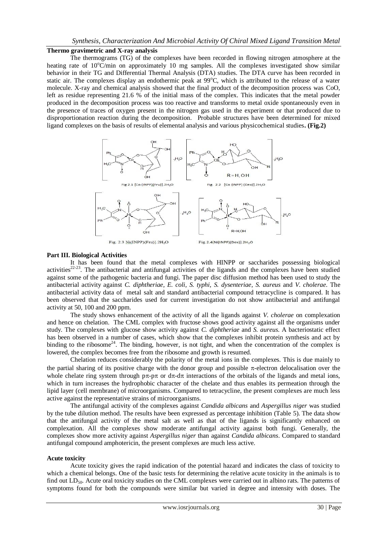## *Synthesis, Characterization And Microbial Activity Of Chiral Mixed Ligand Transition Metal*

#### **Thermo gravimetric and X-ray analysis**

 The thermograms (TG) of the complexes have been recorded in flowing nitrogen atmosphere at the heating rate of  $10^{\circ}$ C/min on approximately 10 mg samples. All the complexes investigated show similar behavior in their TG and Differential Thermal Analysis (DTA) studies. The DTA curve has been recorded in static air. The complexes display an endothermic peak at  $99^{\circ}$ C, which is attributed to the release of a water molecule. X-ray and chemical analysis showed that the final product of the decomposition process was CoO, left as residue representing 21.6 % of the initial mass of the complex. This indicates that the metal powder produced in the decomposition process was too reactive and transforms to metal oxide spontaneously even in the presence of traces of oxygen present in the nitrogen gas used in the experiment or that produced due to disproportionation reaction during the decomposition. Probable structures have been determined for mixed ligand complexes on the basis of results of elemental analysis and various physicochemical studies**. (Fig.2)**



#### **Part III. Biological Activities**

 It has been found that the metal complexes with HINPP or saccharides possessing biological activities $^{22-23}$ . The antibacterial and antifungal activities of the ligands and the complexes have been studied against some of the pathogenic bacteria and fungi. The paper disc diffusion method has been used to study the antibacterial activity against *C. diphtheriae, E. coli, S. typhi, S. dysenteriae, S. aureus* and *V. cholerae*. The antibacterial activity data of metal salt and standard antibacterial compound tetracycline is compared. It has been observed that the saccharides used for current investigation do not show antibacterial and antifungal activity at 50, 100 and 200 ppm.

The study shows enhancement of the activity of all the ligands against *V. cholerae* on complexation and hence on chelation. The CML complex with fructose shows good activity against all the organisms under study. The complexes with glucose show activity against *C. diphtheriae* and *S. aureus*. A bacteriostatic effect has been observed in a number of cases, which show that the complexes inhibit protein synthesis and act by binding to the ribosome<sup>24</sup>. The binding, however, is not tight, and when the concentration of the complex is lowered, the complex becomes free from the ribosome and growth is resumed.

Chelation reduces considerably the polarity of the metal ions in the complexes. This is due mainly to the partial sharing of its positive charge with the donor group and possible  $\pi$ -electron delocalisation over the whole chelate ring system through  $p\pi$ - $p\pi$  or  $d\pi$ -d $\pi$  interactions of the orbitals of the ligands and metal ions, which in turn increases the hydrophobic character of the chelate and thus enables its permeation through the lipid layer (cell membrane) of microorganisms. Compared to tetracycline, the present complexes are much less active against the representative strains of microorganisms.

The antifungal activity of the complexes against *Candida albicans* and *Aspergillus niger* was studied by the tube dilution method. The results have been expressed as percentage inhibition (Table 5). The data show that the antifungal activity of the metal salt as well as that of the ligands is significantly enhanced on complexation. All the complexes show moderate antifungal activity against both fungi. Generally, the complexes show more activity against *Aspergillus niger* than against *Candida albicans*. Compared to standard antifungal compound amphotericin, the present complexes are much less active.

## **Acute toxicity**

Acute toxicity gives the rapid indication of the potential hazard and indicates the class of toxicity to which a chemical belongs. One of the basic tests for determining the relative acute toxicity in the animals is to find out  $LD_{50}$ . Acute oral toxicity studies on the CML complexes were carried out in albino rats. The patterns of symptoms found for both the compounds were similar but varied in degree and intensity with doses. The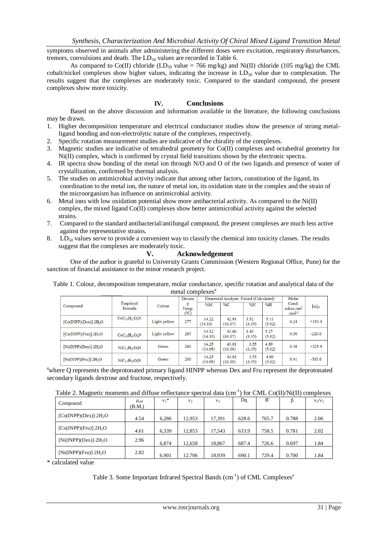symptoms observed in animals after administering the different doses were excitation, respiratory disturbances, tremors, convulsions and death. The  $LD_{50}$  values are recorded in Table 6.

As compared to Co(II) chloride (LD<sub>50</sub> value = 766 mg/kg) and Ni(II) chloride (105 mg/kg) the CML cobalt/nickel complexes show higher values, indicating the increase in  $LD_{50}$  value due to complexation. The results suggest that the complexes are moderately toxic. Compared to the standard compound, the present complexes show more toxicity.

## **IV. Conclusions**

Based on the above discussion and information available in the literature, the following conclusions may be drawn.

- 1. Higher decomposition temperature and electrical conductance studies show the presence of strong metalligand bonding and non-electrolytic nature of the complexes, respectively.
- 2. Specific rotation measurement studies are indicative of the chirality of the complexes.
- 3. Magnetic studies are indicative of tetrahedral geometry for Co(II) complexes and octahedral geometry for Ni(II) complex, which is confirmed by crystal field transitions shown by the electronic spectra.
- 4. IR spectra show bonding of the metal ion through N/O and O of the two ligands and presence of water of crystallization, confirmed by thermal analysis.
- 5. The studies on antimicrobial activity indicate that among other factors, constitution of the ligand, its coordination to the metal ion, the nature of metal ion, its oxidation state in the complex and the strain of the microorganism has influence on antimicrobial activity.
- 6. Metal ions with low oxidation potential show more antibacterial activity. As compared to the Ni(II) complex, the mixed ligand Co(II) complexes show better antimicrobial activity against the selected strains.
- 7. Compared to the standard antibacterial/antifungal compound, the present complexes are much less active against the representative strains.
- 8.  $LD_{50}$  values serve to provide a convenient way to classify the chemical into toxicity classes. The results suggest that the complexes are moderately toxic.

## **V. Acknowledgement**

One of the author is grateful to University Grants Commission (Western Regional Office, Pune) for the sanction of financial assistance to the minor research project.

Table 1. Colour, decomposition temperature, molar conductance, specific rotation and analytical data of the metal complexes $a$ 

|                                      | <b>MANAGAMERANARRAMARA</b> |              | Decom                   |                  | Elemental Analysis Found (Calculated) | Molar          |                |                                               |                |
|--------------------------------------|----------------------------|--------------|-------------------------|------------------|---------------------------------------|----------------|----------------|-----------------------------------------------|----------------|
| Compound                             | Empirical<br>formula       | Colour       | p<br>Temp.<br>$(^{0}C)$ | $\%M$            | $\%C$                                 | $\%N$          | %H             | Cond.<br>$m$ hos.cm <sup>2</sup><br>.mol $-1$ | $[\alpha]_{D}$ |
| [Co(INPP)(Dex)]·2H <sub>2</sub> O    | $CoC_{15}H_{21}O_9N$       | Light yellow | 277                     | 14.22<br>(14.10) | 42.91<br>(43.07)                      | 3.52<br>(3.35) | 5.11<br>(5.02) | 0.24                                          | $+193.0$       |
| $[Co(INPP)(Fru)]$ -2H <sub>2</sub> O | $CoC_{15}H_{21}O_9N$       | Light yellow | 285                     | 14.12<br>(14.10) | 43.00<br>(43.07)                      | 3.40<br>(3.35) | 5.27<br>(5.02) | 0.30                                          | $-220.0$       |
| $[Ni(INPP)(Dex)]$ -2H <sub>2</sub> O | $NiC15H21O9N$              | Green        | 290                     | 14.25<br>(14.05) | 43.01<br>(43.09)                      | 3.55<br>(3.35) | 4.89<br>(5.02) | 0.38                                          | $+225.9$       |
| $[Ni(INPP)(Fru)]$ 2H <sub>2</sub> O  | $NiC_{15}H_{21}O_9N$       | Green        | 260                     | 14.25<br>(14.05) | 43.01<br>(43.09)                      | 3.55<br>(3.35) | 4.89<br>(5.02) | 0.41                                          | $-303.0$       |

<sup>a</sup>where Q represents the deprotonated primary ligand HINPP whereas Dex and Fru represent the deprotonated secondary ligands dextrose and fructose, respectively.

Table 2. Magnetic moments and diffuse reflectance spectral data  $(cm^{-1})$  for CML Co(II)/Ni(II) complexes

| ັ                                   |                |         |                |        |       |       |       |           |
|-------------------------------------|----------------|---------|----------------|--------|-------|-------|-------|-----------|
| Compound                            | Heff<br>(B.M.) | $v_1^*$ | V <sub>2</sub> | $V_3$  | Dq    | B'    |       | $V_2/V_1$ |
| $[Co(INPP)(Dex)] \cdot 2H_2O$       | 4.54           | 6.286   | 12.953         | 17,391 | 628.6 | 765.7 | 0.788 | 2.06      |
| $[Co(INPP)(Fru)]$ 2H <sub>2</sub> O | 4.61           | 6,339   | 12,853         | 17,543 | 633.9 | 758.5 | 0.781 | 2.02      |
| $[Ni(INPP)(Dex)]$ 2H <sub>2</sub> O | 2.96           | 6,874   | 12.658         | 18,867 | 687.4 | 726.6 | 0.697 | 1.84      |
| $[Ni(INPP)(Fru)]$ - $2H_2O$         | 2.82           | 6.901   | 12.706         | 18,939 | 690.1 | 729.4 | 0.700 | 1.84      |

\* calculated value

Table 3. Some Important Infrared Spectral Bands (cm<sup>-1</sup>) of CML Complexes<sup>a</sup>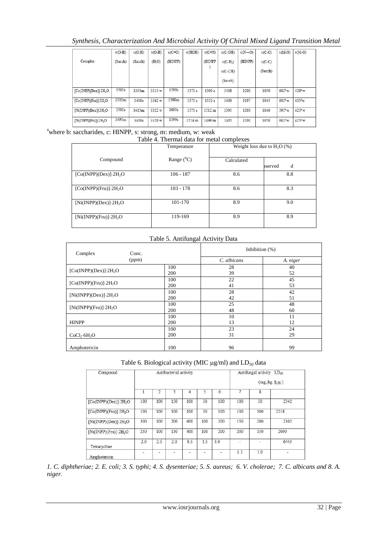# *Synthesis, Characterization And Microbial Activity Of Chiral Mixed Ligand Transition Metal*

|                                     | $v(O-H)$ | $v(O-H)$ | $v(O-H)$           | $v(C=O)$ | v(HOH) | $v(C=N)$ | $v(C-OH)$  | $v(N\rightarrow 0)$ | $v(C-O)$ | $v(M-N)$           | $v(M-0)$           |
|-------------------------------------|----------|----------|--------------------|----------|--------|----------|------------|---------------------|----------|--------------------|--------------------|
| Complex                             | (Sacch)  | (Sacch)  | (H <sub>2</sub> O) | (HINPP)  |        | (HINPP   | $v(C-H_2)$ | (HINPP)             | $v(C-C)$ |                    |                    |
|                                     |          |          |                    |          |        |          | $v(C-CH)$  |                     | (Sacch)  |                    |                    |
|                                     |          |          |                    |          |        |          | (Sacch)    |                     |          |                    |                    |
| $[Co(INPP)(Dex)]$ 2H <sub>2</sub> O | 3500s    | 3395m    | 3315 w             | 1598s    | 1573 s | 1509 s   | 1408       | 1200                | 1050     | $602^b$ w          | $420^b$ w          |
| $[Co(INPP)(Fru)]$ -2 $H_2O$         | 3505m    | 3400s    | 3362 w             | 1599m    | 1575s  | 1510 s   | 1400       | 1197                | 1045     | $603^b$ w          | $435b$ w           |
| $[Ni(INPP)(Dex)]$ 2H <sub>2</sub> O | 3500s    | 3415m    | 3322 w             | 1600s    | 1573 s | 1512 m   | 1395       | 1203                | 1040     | 595 <sup>b</sup> w | $425^b$ w          |
| $[Ni(INPP)(Fru)]$ 2H <sub>2</sub> O | 3495m    | 3400s    | 3320 w             | 1599s    | 1574 m | 1499 m   | 1405       | 1200                | 1050     | $602^b$ w          | 425 <sup>b</sup> w |

# <sup>a</sup>where b: saccharides, c: HINPP, s: strong, m: medium, w: weak

| Table 4. Thermal data for metal complexes |  |  |  |  |  |
|-------------------------------------------|--|--|--|--|--|
|                                           |  |  |  |  |  |

|                                     | Temperature   | Weight loss due to $H_2O$ (%) |              |  |  |
|-------------------------------------|---------------|-------------------------------|--------------|--|--|
| Compound                            | Range $(^0C)$ | Calculated                    | d<br>bserved |  |  |
| $[Co(INPP)(Dex)] \cdot 2H_2O$       | $106 - 187$   | 8.6                           | 8.8          |  |  |
| $[Co(INPP)(Fru)] \cdot 2H_2O$       | $103 - 178$   | 8.6                           | 8.3          |  |  |
| $[Ni(INPP)(Dex)]$ 2H <sub>2</sub> O | 101-170       | 8.9                           | 9.0          |  |  |
| $[Ni(INPP)(Fru)]$ 2H <sub>2</sub> O | 119-169       | 8.9                           | 8.9          |  |  |

# Table 5. Antifungal Activity Data

| Complex                              | Conc. | Inhibition $(\%)$ |          |
|--------------------------------------|-------|-------------------|----------|
|                                      | (ppm) | C. albicans       | A. niger |
| $[Co(INPP)(Dex)] \cdot 2H_2O$        | 100   | 28                | 40       |
|                                      | 200   | 39                | 52       |
| $[Co(INPP)(Fru)]$ 2H <sub>2</sub> O  | 100   | 22                | 45       |
|                                      | 200   | 41                | 53       |
| $[Ni(INPP)(Dex)]$ 2H <sub>2</sub> O  | 100   | 28                | 42       |
|                                      | 200   | 42                | 51       |
| $[Ni(INPP)(Fru)]$ 2H <sub>2</sub> O  | 100   | 25                | 48       |
|                                      | 200   | 48                | 60       |
| <b>HINPP</b>                         | 100   | 10                | 11       |
|                                      | 200   | 13                | 12       |
| CoCl <sub>2</sub> ·6H <sub>2</sub> O | 100   | 23                | 24       |
|                                      | 200   | 31                | 29       |
| Amphotericin                         | 100   | 96                | 99       |

## Table 6. Biological activity (MIC  $\mu$ g/ml) and  $LD_{50}$  data

| Compound                             |     |                | Antibacterial activity |     |     |     |     | Antifungal activity LD <sub>50</sub> | (mg/kg, b.w.) |
|--------------------------------------|-----|----------------|------------------------|-----|-----|-----|-----|--------------------------------------|---------------|
|                                      | 1   | $\overline{2}$ | 3                      | 4   | 5   | 6   | 7   | 8                                    |               |
| $[Co(INPP)(Dex)]$ -2H <sub>2</sub> O | 100 | 100            | 150                    | 100 | 50  | 100 | 100 | 50                                   | 2342          |
| $[Co(INPP)(Fru)]$ -2H <sub>2</sub> O | 100 | 100            | 100                    | 100 | 50  | 100 | 100 | 100                                  | 2218          |
| $[Ni(INPP)(Dex)]$ -2H <sub>2</sub> O | 300 | 100            | 200                    | 400 | 100 | 200 | 150 | 200                                  | 2102          |
| $[Ni(INPP)(Fn1] \cdot 2H_2O$         | 250 | 100            | 150                    | 400 | 100 | 200 | 200 | 150                                  | 2090          |
| Tetracycline                         | 2.0 | 2.5            | 2.0                    | 0.5 | 1.5 | 3.0 | ٠   |                                      | 6443          |
| Amphotericin                         |     | ÷,             | Ō.                     | f.  | C   | C.  | 1.5 | 1.0                                  | Ċ.            |

*1. C. diphtheriae; 2. E. coli; 3. S. typhi; 4. S. dysenteriae; 5. S. aureus; 6. V. cholerae; 7. C. albicans and 8. A. niger.*